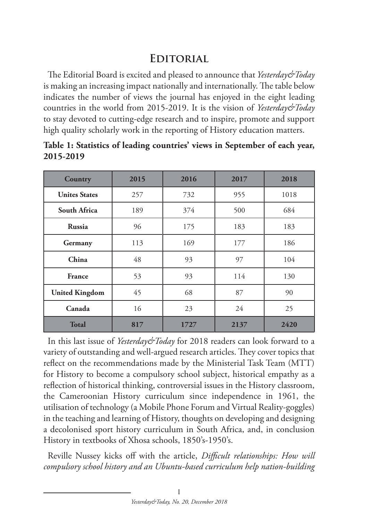## **Editorial**

The Editorial Board is excited and pleased to announce that *Yesterday&Today*  is making an increasing impact nationally and internationally. The table below indicates the number of views the journal has enjoyed in the eight leading countries in the world from 2015-2019. It is the vision of *Yesterday&Today* to stay devoted to cutting-edge research and to inspire, promote and support high quality scholarly work in the reporting of History education matters.

| Country               | 2015 | 2016 | 2017 | 2018 |
|-----------------------|------|------|------|------|
| <b>Unites States</b>  | 257  | 732  | 955  | 1018 |
| South Africa          | 189  | 374  | 500  | 684  |
| <b>Russia</b>         | 96   | 175  | 183  | 183  |
| Germany               | 113  | 169  | 177  | 186  |
| China                 | 48   | 93   | 97   | 104  |
| <b>France</b>         | 53   | 93   | 114  | 130  |
| <b>United Kingdom</b> | 45   | 68   | 87   | 90   |
| Canada                | 16   | 23   | 24   | 25   |
| <b>Total</b>          | 817  | 1727 | 2137 | 2420 |

**Table 1: Statistics of leading countries' views in September of each year, 2015-2019**

In this last issue of *Yesterday&Today* for 2018 readers can look forward to a variety of outstanding and well-argued research articles. They cover topics that reflect on the recommendations made by the Ministerial Task Team (MTT) for History to become a compulsory school subject, historical empathy as a reflection of historical thinking, controversial issues in the History classroom, the Cameroonian History curriculum since independence in 1961, the utilisation of technology (a Mobile Phone Forum and Virtual Reality-goggles) in the teaching and learning of History, thoughts on developing and designing a decolonised sport history curriculum in South Africa, and, in conclusion History in textbooks of Xhosa schools, 1850's-1950's.

Reville Nussey kicks off with the article, *Difficult relationships: How will compulsory school history and an Ubuntu-based curriculum help nation-building*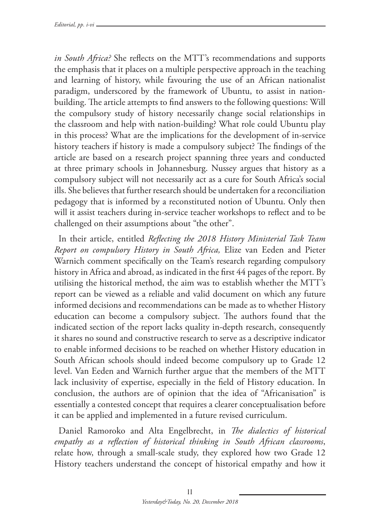*in South Africa?* She reflects on the MTT's recommendations and supports the emphasis that it places on a multiple perspective approach in the teaching and learning of history, while favouring the use of an African nationalist paradigm, underscored by the framework of Ubuntu, to assist in nationbuilding. The article attempts to find answers to the following questions: Will the compulsory study of history necessarily change social relationships in the classroom and help with nation-building? What role could Ubuntu play in this process? What are the implications for the development of in-service history teachers if history is made a compulsory subject? The findings of the article are based on a research project spanning three years and conducted at three primary schools in Johannesburg. Nussey argues that history as a compulsory subject will not necessarily act as a cure for South Africa's social ills. She believes that further research should be undertaken for a reconciliation pedagogy that is informed by a reconstituted notion of Ubuntu. Only then will it assist teachers during in-service teacher workshops to reflect and to be challenged on their assumptions about "the other".

In their article, entitled *Reflecting the 2018 History Ministerial Task Team Report on compulsory History in South Africa,* Elize van Eeden and Pieter Warnich comment specifically on the Team's research regarding compulsory history in Africa and abroad, as indicated in the first 44 pages of the report. By utilising the historical method, the aim was to establish whether the MTT's report can be viewed as a reliable and valid document on which any future informed decisions and recommendations can be made as to whether History education can become a compulsory subject. The authors found that the indicated section of the report lacks quality in-depth research, consequently it shares no sound and constructive research to serve as a descriptive indicator to enable informed decisions to be reached on whether History education in South African schools should indeed become compulsory up to Grade 12 level. Van Eeden and Warnich further argue that the members of the MTT lack inclusivity of expertise, especially in the field of History education. In conclusion, the authors are of opinion that the idea of "Africanisation" is essentially a contested concept that requires a clearer conceptualisation before it can be applied and implemented in a future revised curriculum.

Daniel Ramoroko and Alta Engelbrecht, in *The dialectics of historical empathy as a reflection of historical thinking in South African classrooms*, relate how, through a small-scale study, they explored how two Grade 12 History teachers understand the concept of historical empathy and how it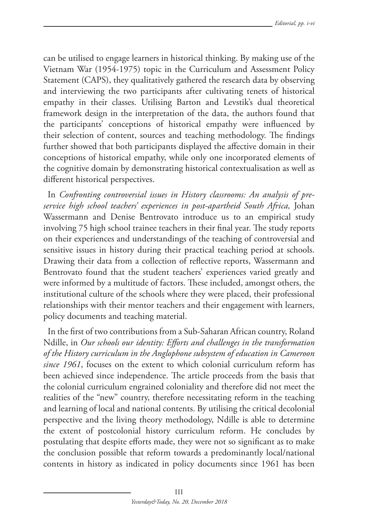can be utilised to engage learners in historical thinking. By making use of the Vietnam War (1954-1975) topic in the Curriculum and Assessment Policy Statement (CAPS), they qualitatively gathered the research data by observing and interviewing the two participants after cultivating tenets of historical empathy in their classes. Utilising Barton and Levstik's dual theoretical framework design in the interpretation of the data, the authors found that the participants' conceptions of historical empathy were influenced by their selection of content, sources and teaching methodology. The findings further showed that both participants displayed the affective domain in their conceptions of historical empathy, while only one incorporated elements of the cognitive domain by demonstrating historical contextualisation as well as different historical perspectives.

In *Confronting controversial issues in History classrooms: An analysis of preservice high school teachers' experiences in post-apartheid South Africa,* Johan Wassermann and Denise Bentrovato introduce us to an empirical study involving 75 high school trainee teachers in their final year. The study reports on their experiences and understandings of the teaching of controversial and sensitive issues in history during their practical teaching period at schools. Drawing their data from a collection of reflective reports, Wassermann and Bentrovato found that the student teachers' experiences varied greatly and were informed by a multitude of factors. These included, amongst others, the institutional culture of the schools where they were placed, their professional relationships with their mentor teachers and their engagement with learners, policy documents and teaching material.

In the first of two contributions from a Sub-Saharan African country, Roland Ndille, in *Our schools our identity: Efforts and challenges in the transformation of the History curriculum in the Anglophone subsystem of education in Cameroon since 1961*, focuses on the extent to which colonial curriculum reform has been achieved since independence. The article proceeds from the basis that the colonial curriculum engrained coloniality and therefore did not meet the realities of the "new" country, therefore necessitating reform in the teaching and learning of local and national contents. By utilising the critical decolonial perspective and the living theory methodology, Ndille is able to determine the extent of postcolonial history curriculum reform. He concludes by postulating that despite efforts made, they were not so significant as to make the conclusion possible that reform towards a predominantly local/national contents in history as indicated in policy documents since 1961 has been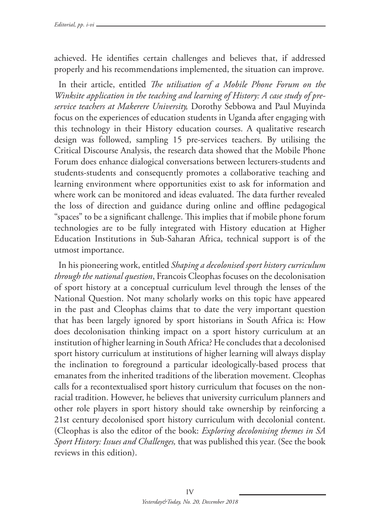achieved. He identifies certain challenges and believes that, if addressed properly and his recommendations implemented, the situation can improve.

In their article, entitled *The utilisation of a Mobile Phone Forum on the Winksite application in the teaching and learning of History: A case study of preservice teachers at Makerere University,* Dorothy Sebbowa and Paul Muyinda focus on the experiences of education students in Uganda after engaging with this technology in their History education courses. A qualitative research design was followed, sampling 15 pre-services teachers. By utilising the Critical Discourse Analysis, the research data showed that the Mobile Phone Forum does enhance dialogical conversations between lecturers-students and students-students and consequently promotes a collaborative teaching and learning environment where opportunities exist to ask for information and where work can be monitored and ideas evaluated. The data further revealed the loss of direction and guidance during online and offline pedagogical "spaces" to be a significant challenge. This implies that if mobile phone forum technologies are to be fully integrated with History education at Higher Education Institutions in Sub-Saharan Africa, technical support is of the utmost importance.

In his pioneering work, entitled *Shaping a decolonised sport history curriculum through the national question*, Francois Cleophas focuses on the decolonisation of sport history at a conceptual curriculum level through the lenses of the National Question. Not many scholarly works on this topic have appeared in the past and Cleophas claims that to date the very important question that has been largely ignored by sport historians in South Africa is: How does decolonisation thinking impact on a sport history curriculum at an institution of higher learning in South Africa? He concludes that a decolonised sport history curriculum at institutions of higher learning will always display the inclination to foreground a particular ideologically-based process that emanates from the inherited traditions of the liberation movement. Cleophas calls for a recontextualised sport history curriculum that focuses on the nonracial tradition. However, he believes that university curriculum planners and other role players in sport history should take ownership by reinforcing a 21st century decolonised sport history curriculum with decolonial content. (Cleophas is also the editor of the book: *Exploring decolonising themes in SA Sport History: Issues and Challenges,* that was published this year. (See the book reviews in this edition).